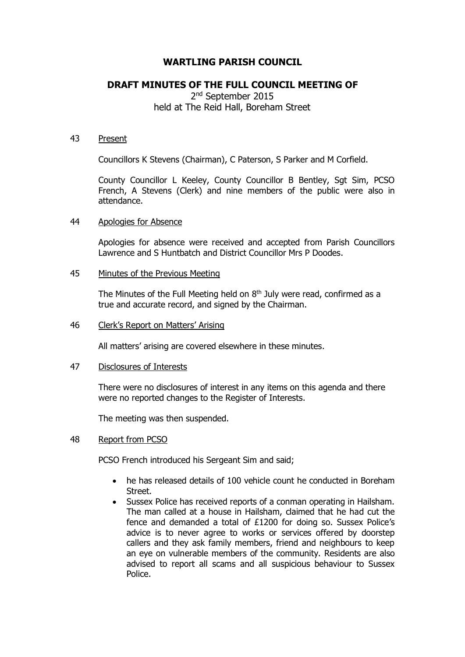# **WARTLING PARISH COUNCIL**

## **DRAFT MINUTES OF THE FULL COUNCIL MEETING OF**

2<sup>nd</sup> September 2015 held at The Reid Hall, Boreham Street

#### 43 Present

Councillors K Stevens (Chairman), C Paterson, S Parker and M Corfield.

County Councillor L Keeley, County Councillor B Bentley, Sgt Sim, PCSO French, A Stevens (Clerk) and nine members of the public were also in attendance.

#### 44 Apologies for Absence

Apologies for absence were received and accepted from Parish Councillors Lawrence and S Huntbatch and District Councillor Mrs P Doodes.

#### 45 Minutes of the Previous Meeting

The Minutes of the Full Meeting held on  $8<sup>th</sup>$  July were read, confirmed as a true and accurate record, and signed by the Chairman.

#### 46 Clerk's Report on Matters' Arising

All matters' arising are covered elsewhere in these minutes.

#### 47 Disclosures of Interests

There were no disclosures of interest in any items on this agenda and there were no reported changes to the Register of Interests.

The meeting was then suspended.

#### 48 Report from PCSO

PCSO French introduced his Sergeant Sim and said;

- he has released details of 100 vehicle count he conducted in Boreham Street.
- Sussex Police has received reports of a conman operating in Hailsham. The man called at a house in Hailsham, claimed that he had cut the fence and demanded a total of £1200 for doing so. Sussex Police's advice is to never agree to works or services offered by doorstep callers and they ask family members, friend and neighbours to keep an eye on vulnerable members of the community. Residents are also advised to report all scams and all suspicious behaviour to Sussex Police.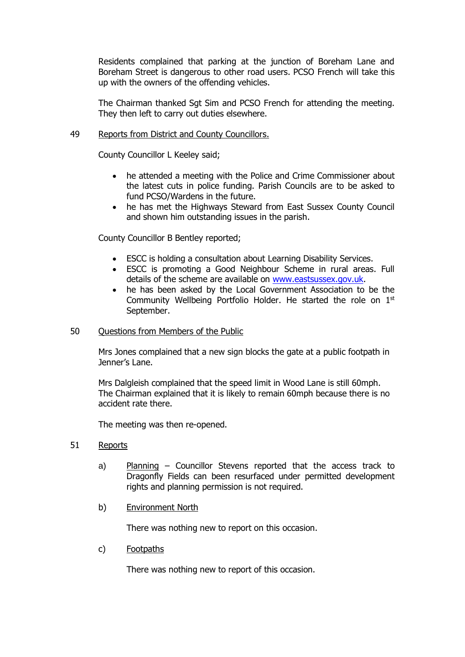Residents complained that parking at the junction of Boreham Lane and Boreham Street is dangerous to other road users. PCSO French will take this up with the owners of the offending vehicles.

The Chairman thanked Sgt Sim and PCSO French for attending the meeting. They then left to carry out duties elsewhere.

### 49 Reports from District and County Councillors.

County Councillor L Keeley said;

- he attended a meeting with the Police and Crime Commissioner about the latest cuts in police funding. Parish Councils are to be asked to fund PCSO/Wardens in the future.
- he has met the Highways Steward from East Sussex County Council and shown him outstanding issues in the parish.

County Councillor B Bentley reported;

- ESCC is holding a consultation about Learning Disability Services.
- ESCC is promoting a Good Neighbour Scheme in rural areas. Full details of the scheme are available on [www.eastsussex.gov.uk.](http://www.eastsussex.gov.uk/)
- he has been asked by the Local Government Association to be the Community Wellbeing Portfolio Holder. He started the role on 1<sup>st</sup> September.

### 50 Questions from Members of the Public

Mrs Jones complained that a new sign blocks the gate at a public footpath in Jenner's Lane.

Mrs Dalgleish complained that the speed limit in Wood Lane is still 60mph. The Chairman explained that it is likely to remain 60mph because there is no accident rate there.

The meeting was then re-opened.

### 51 Reports

- a) Planning Councillor Stevens reported that the access track to Dragonfly Fields can been resurfaced under permitted development rights and planning permission is not required.
- b) Environment North

There was nothing new to report on this occasion.

c) Footpaths

There was nothing new to report of this occasion.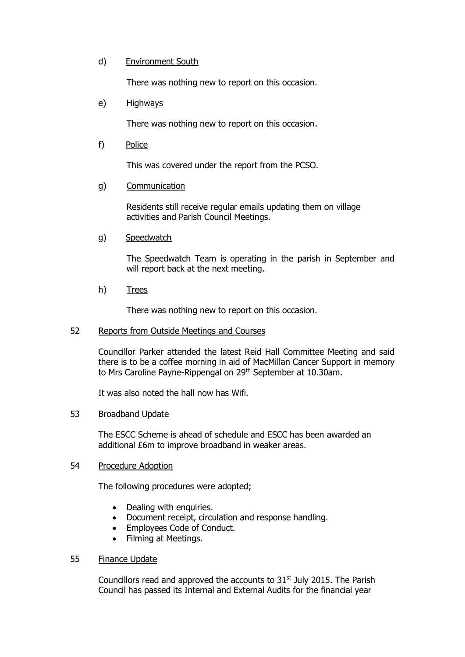### d) Environment South

There was nothing new to report on this occasion.

#### e) Highways

There was nothing new to report on this occasion.

f) Police

This was covered under the report from the PCSO.

### g) Communication

Residents still receive regular emails updating them on village activities and Parish Council Meetings.

g) Speedwatch

The Speedwatch Team is operating in the parish in September and will report back at the next meeting.

h) Trees

There was nothing new to report on this occasion.

### 52 Reports from Outside Meetings and Courses

Councillor Parker attended the latest Reid Hall Committee Meeting and said there is to be a coffee morning in aid of MacMillan Cancer Support in memory to Mrs Caroline Payne-Rippengal on 29<sup>th</sup> September at 10.30am.

It was also noted the hall now has Wifi.

### 53 Broadband Update

The ESCC Scheme is ahead of schedule and ESCC has been awarded an additional £6m to improve broadband in weaker areas.

#### 54 Procedure Adoption

The following procedures were adopted;

- Dealing with enquiries.
- Document receipt, circulation and response handling.
- Employees Code of Conduct.
- Filming at Meetings.

### 55 Finance Update

Councillors read and approved the accounts to 31<sup>st</sup> July 2015. The Parish Council has passed its Internal and External Audits for the financial year